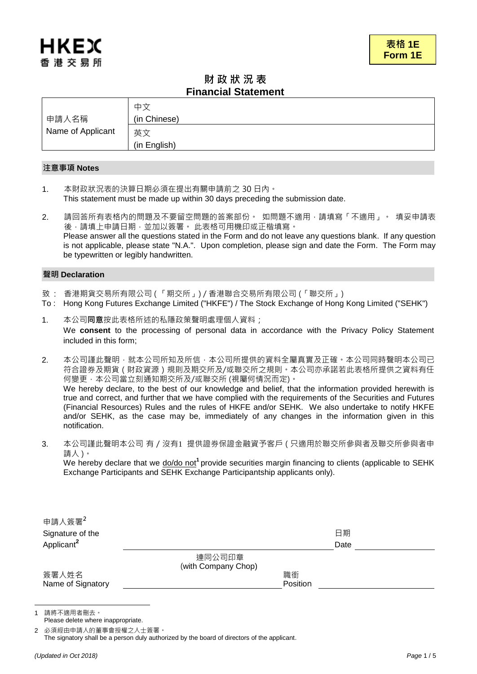# 財 政 狀 況 表 **Financial Statement**

|                   | 中で                 |
|-------------------|--------------------|
| 申請人名稱             | (in Chinese)       |
| Name of Applicant | 英文<br>(in English) |

# 注意事項 **Notes**

1. 本財政狀況表的決算日期必須在提出有關申請前之 30 日內。 This statement must be made up within 30 days preceding the submission date.

2. 請回答所有表格內的問題及不要留空問題的答案部份。 如問題不適用,請填寫「不適用」。 填妥申請表 後,請填上申請日期,並加以簽署。 此表格可用機印或正楷填寫。 Please answer all the questions stated in the Form and do not leave any questions blank. If any question is not applicable, please state "N.A.". Upon completion, please sign and date the Form. The Form may be typewritten or legibly handwritten.

# 聲明 **Declaration**

- 致 : 香港期貨交易所有限公司 ( 「期交所」) / 香港聯合交易所有限公司 (「聯交所」)
- To : Hong Kong Futures Exchange Limited ("HKFE") / The Stock Exchange of Hong Kong Limited ("SEHK")
- 1. 本公司同意按此表格所述的私隱政策聲明處理個人資料; We **consent** to the processing of personal data in accordance with the Privacy Policy Statement included in this form;
- 2. 本公司謹此聲明,就本公司所知及所信,本公司所提供的資料全屬真實及正確,本公司同時聲明本公司已 符合證券及期貨 ( 財政資源 ) 規則及期交所及/或聯交所之規則。本公司亦承諾若此表格所提供之資料有任 何變更﹐本公司當立刻通知期交所及/或聯交所 (視屬何情況而定)。 We hereby declare, to the best of our knowledge and belief, that the information provided herewith is true and correct, and further that we have complied with the requirements of the Securities and Futures (Financial Resources) Rules and the rules of HKFE and/or SEHK. We also undertake to notify HKFE and/or SEHK, as the case may be, immediately of any changes in the information given in this notification.
- 3. 本公司謹此聲明本公司 有 / 沒有1 提供證券保證金融資予客戶 ( 只適用於聯交所參與者及聯交所參與者申 請人)。 We hereby declare that we do/do not<sup>1</sup> provide securities margin financing to clients (applicable to SEHK Exchange Participants and SEHK Exchange Participantship applicants only).

| 申請人簽署2                 |                     |          |      |  |
|------------------------|---------------------|----------|------|--|
| Signature of the       |                     |          | 日期   |  |
| Applicant <sup>2</sup> |                     |          | Date |  |
|                        | 連同公司印章              |          |      |  |
|                        | (with Company Chop) |          |      |  |
| 簽署人姓名                  |                     | 職銜       |      |  |
| Name of Signatory      |                     | Position |      |  |

1 請將不適用者刪去。

 $\overline{a}$ 

Please delete where inappropriate.

2 必須經由申請人的董事會授權之人士簽署。

The signatory shall be a person duly authorized by the board of directors of the applicant.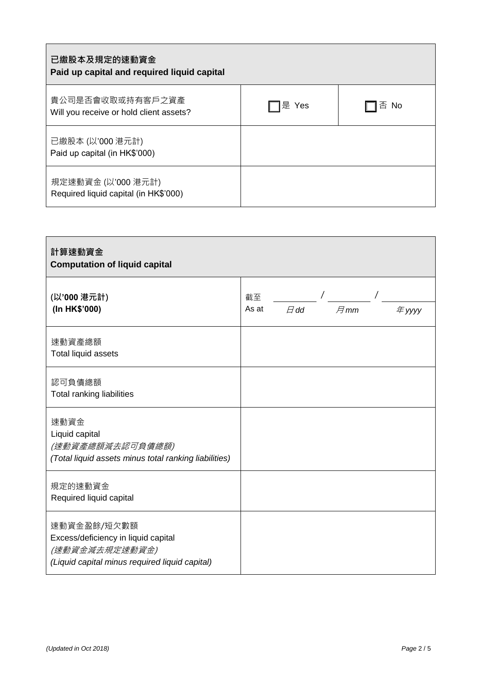| 已繳股本及規定的速動資金<br>Paid up capital and required liquid capital |       |      |
|-------------------------------------------------------------|-------|------|
| 貴公司是否會收取或持有客戶之資產<br>Will you receive or hold client assets? | 是 Yes | 否 No |
| 已繳股本 (以'000 港元計)<br>Paid up capital (in HK\$'000)           |       |      |
| 規定速動資金 (以'000 港元計)<br>Required liquid capital (in HK\$'000) |       |      |

| 計算速動資金<br><b>Computation of liquid capital</b>                                                                         |             |               |            |  |        |
|------------------------------------------------------------------------------------------------------------------------|-------------|---------------|------------|--|--------|
| (以'000 港元計)<br>(In HK\$'000)                                                                                           | 截至<br>As at | $\boxplus$ dd | $\n  H$ mm |  | 年 yyyy |
| 速動資產總額<br>Total liquid assets                                                                                          |             |               |            |  |        |
| 認可負債總額<br>Total ranking liabilities                                                                                    |             |               |            |  |        |
| 速動資金<br>Liquid capital<br>(速動資產總額減去認可負債總額)<br>(Total liquid assets minus total ranking liabilities)                    |             |               |            |  |        |
| 規定的速動資金<br>Required liquid capital                                                                                     |             |               |            |  |        |
| 速動資金盈餘/短欠數額<br>Excess/deficiency in liquid capital<br>(速動資金減去規定速動資金)<br>(Liquid capital minus required liquid capital) |             |               |            |  |        |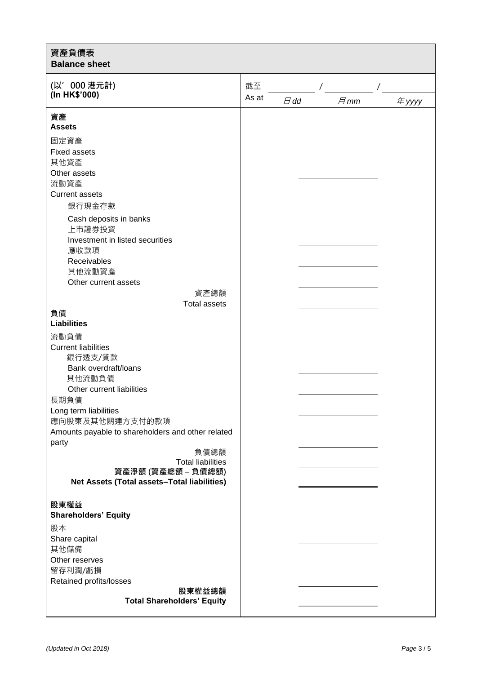| 資產負債表<br><b>Balance sheet</b>                                   |       |           |            |        |  |
|-----------------------------------------------------------------|-------|-----------|------------|--------|--|
| (以'000 港元計)                                                     |       |           |            |        |  |
| (In HK\$'000)                                                   | As at | $\Box$ dd | $\n  H$ mm | 年 yyyy |  |
| 資產<br><b>Assets</b>                                             |       |           |            |        |  |
| 固定資產<br><b>Fixed assets</b>                                     |       |           |            |        |  |
| 其他資產<br>Other assets                                            |       |           |            |        |  |
| 流動資產                                                            |       |           |            |        |  |
| <b>Current assets</b><br>銀行現金存款                                 |       |           |            |        |  |
| Cash deposits in banks<br>上市證券投資                                |       |           |            |        |  |
| Investment in listed securities<br>應收款項                         |       |           |            |        |  |
| Receivables<br>其他流動資產                                           |       |           |            |        |  |
| Other current assets<br>資產總額                                    |       |           |            |        |  |
| <b>Total assets</b>                                             |       |           |            |        |  |
| 負債<br><b>Liabilities</b>                                        |       |           |            |        |  |
| 流動負債                                                            |       |           |            |        |  |
| <b>Current liabilities</b><br>銀行透支/貸款                           |       |           |            |        |  |
| Bank overdraft/loans<br>其他流動負債                                  |       |           |            |        |  |
| Other current liabilities<br>長期負債                               |       |           |            |        |  |
| Long term liabilities<br>應向股東及其他關連方支付的款項                        |       |           |            |        |  |
| Amounts payable to shareholders and other related<br>party      |       |           |            |        |  |
| 負債總額<br><b>Total liabilities</b>                                |       |           |            |        |  |
| 資產淨額 (資產總額-負債總額)<br>Net Assets (Total assets-Total liabilities) |       |           |            |        |  |
| 股東權益                                                            |       |           |            |        |  |
| <b>Shareholders' Equity</b>                                     |       |           |            |        |  |
| 股本                                                              |       |           |            |        |  |
| Share capital<br>其他儲備                                           |       |           |            |        |  |
| Other reserves                                                  |       |           |            |        |  |
| 留存利潤/虧損                                                         |       |           |            |        |  |
| Retained profits/losses<br>股東權益總額                               |       |           |            |        |  |
| <b>Total Shareholders' Equity</b>                               |       |           |            |        |  |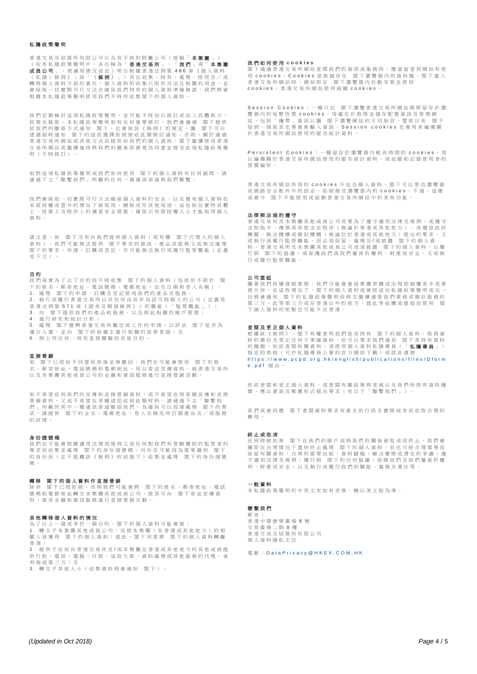# 私隱政策聲明

香港交易及結算所有限公司以及其不時的附屬公司(統稱「 **本集團** 」 )<br>(在本私隱政策聲明中,各自稱為「 **香港交易所** 」 <sup>、 「</sup> **我 們** 」或「 **本集團** 成員公司 」,視適用情況而定)明白根據香港法例第 486 章《個人資料 (私隱)條例》(該「《**條例》** 」)其在收集、持有、處理、使用及/或 、"你的", "你的", "你的", "不在状来", "", ", 《《生》(《历》) 《 會採取一切實際可行方法去確保我們持有的個人資料準確無誤。我們將會 根據本私隱政策聲明使用我們不時所收集閣下的個人資料

我們定期檢討這項私隱政策聲明,並可能不時加以修訂或加入具體指示、 政策及條款。本私隱政策聲明如有任何重要修訂,我們會通過 閣下提供 給我們的聯絡方式通知 閣下,也會按該《條例》的規定,讓 閣下可以<br>诱過屆時通知 閣下的途徑選擇拒絕接收此類修訂通知。否則,關於通過 。<br>「閣下的途徑選擇拒絕接收此類修訂通知。否則,關於通過 香港交易所網站或其他方式而提供給我們的個人資料,閣下繼續使用香港 交易所網站或繼續維持與我們的關係即被視為同意並接受此項私隱政策聲 明(不時修訂)。

如對這項私隱政策聲明或我們如何使用 閣下的個人資料有任何疑問,請 海過不文「聯繫我們」所載的任何一個通訊渠道與我們聯繫。

我們會採取一切實際可行方法確保個人資料的安全,以及避免個人資料在 未經授權或意外的情況下被取用、刪除或作其他用途。這包括在實物具體 上、技術上及程序上的適當安全措施, 確保只有經授權人士才能取用個人 資料。

請注意:如 閣下沒有向我們提供個人資料(或有關 閣下代理人的個人 資料),我們可能無法提供 閣下要求的資訊、產品或服務又或無法處理 閣下的要求、申請、訂購或登記,亦可能無法執行或履行監管職能(定義 見下文)。

#### 目 的

我們或會為了以下目的而不時收集 閣下的個人資料(包括但不限於 閣 下的姓名、郵寄地址、電話號碼、電郵地址、出生日期和登入名稱): 1 . 處 理 閣下的申請、訂購及登記使用我們的產品及服務; 2. 執行或履行香港交易所以及任何由其作為認可控制人的公司(定義見 <u>て, 我は我展は自己人物のめ</u>及は同田米に物品は出来いない。<br><br>香港法例第 571 章《證券及期貨條例》)的職能(「監管職能」); 3. 向 閣下提供我們的產品和服務,以及與此相關的賬戶管理; 4 . 進行研究和統計分析; 5 . 處 理 閣下應聘香港交易所職位或工作的申請,以評估 閣下是否為

適合人選,並向 閣下的前僱主進行相關的背景查證;及<br>6. 與上列任何一項有直接關聯的其他目的。

#### 直接營銷

如 閣下已經給予同意而其後並無撤回,我們也可能會使用 閣下的姓 名、郵寄地址、電話號碼和電郵地址,用以寄送宣傳資料,就香港交易所 以及本集團其他成員公司的金融和資訊服務進行直接營銷活動。

如不希望收到我們的宣傳和直接營銷資料,或不希望收到某類宣傳和直接 。<br>「在事件的人的人的人」,我们在我们的人们的人的人的人的人的人的人的人。」<br>「我们的人的人的人的人」,我们的人的人的人的人物的人 日 3. ( ) ( ) ( ) 1 1 主 世 尔 世 世 世 公 均 地 然 得 行 15 2 2 1 4 4 4 <br>們 」所 載 的 其 中 一 種 通 訊 渠 道 聯 絡 我 們 。 為 確 保 可 以 迅 速 處 理 閣 下 的 要 請提供 閣下的全名、電郵地址、登入名稱及所訂閱產品及/或服務 的詳情。

#### 身份證號碼

我們也可能會根據適用法律或規例又或任何對我們有管轄權限的監管者的 我们已了紀昌低综合局最早数观的交易出行到执行与特倫低的监督日常 的身份而(在不抵觸該《條例》的前提下)收集 並處理 閣下的身份證號 碼 。

#### 轉移 閣下的個人資料作直接營銷

除 非 閣下已經拒絕,否則我們可能會將 閣下的姓名、郵寄地址、電話 號碼和電郵地址轉交本集團其他成員公司,使其可向 閣下寄送宣傳資 料,就其金融和資訊服務進行直接營銷活動。

#### 其他轉移個人資料的情況

為了以上一個或多於一個目的,閣下的個人資料可能會被:<br>1. 轉交予本集團其他成員公司,而使本集團(在香港或其他地方)的相 關人員獲得 閣下的個人資料;就此,閣下同意將 閣下的個人資料轉離 香港;

2 . 提供手任何向香港交易所及/或本集團在香港或其他地方的其他成員提 供行政、電訊、電腦、付款、追收欠款、資料處理或其他服務的代理、承 判商或第三方;及

3 . 轉交予其他人士(收集資料時會通知 閣下)。

#### 我 們 如 何 使 用 **c o o k i e s**

1.1.1.1.1.1.1.<br>閣下通過香港交易所網站查閱我們的資訊或服務時,應當留意到網站有使 用 c o o k i e s 。 C o o k i e s 是 指 儲 存 在 閣下瀏覽器內的資料檔。閣下進入 香港交易所網站時,網站即在 閣下瀏覽器內自動安裝並使用<br>cookies。香港交易所網站使用兩種 cookies。

Session Cookies : 一種只在 閣下瀏覽香港交易所網站期間留存於瀏 覽器內的短暫性質 cookies,用處在於取得並儲存配置資訊及管理網 站,包括「攜帶」資訊以隨 閣下瀏覽網站的不同版頁,譬如以免 閣下<br>每到一個版頁也要重新輸入資訊。Slession cookies也會用來編備關 於香港交易所網站使用的匿名統計資料。

Persistent Cookies: 一種留存於瀏覽器內較長時間的 cookies, 用 以編備關於香港交易所網站使用的匿名統計資料,或追蹤和記錄使用者的 習慣偏好。

香港交易所網站所用的 c o o k i e s 不 包 含 個 人 資 料 。 閣 下 可 以 更 改 瀏 覽 器 或網路安全軟件中的設定,拒絕接受瀏覽器內的 c o o k i e s 。 不 過 , 這 樣 或會令 閣下不能使用或啟動香港交易所網站中的某些功能。

# 法律與法規的遵守

香港交易所及本集團其他成員公司或要為了遵守適用法律及規例,或遵守<br>法院指令、傳票或其他法定程序(無論於香港或其他地方),或遵從政府 為 》、 对象数公司怎么在方 、 《 篇 公 音 怎 数公 高 名 分 》 《 《 是 之 众 心<br>機關、執 法機構或類似機構(無論位於香港或其他地方)提出的要求,又 或執行或履行監管職能,而必須保留、處理及 / 或披露 閣下的個人資 料。香港交易所及本集團其他成員公司或須披露 閣下的個人資料,以履 行與 閣下的協議,或保護我們或我們僱員的權利、財產或安全,又或執 行或履行監管職能。

#### 公司重組

隨著我們持續發展業務,我們可能會重組集團架構或出現控制權易手或業 務合併。在這些情況下,閣下的個人資料或會按這份私隱政策聲明或另一 33日前 出产生的第一部件的出会会社公司公差以后提款公事分公分 第三方。此等第三方或在香港以外的地方,就此等收購或重組而使用 閣 下個人資料的地點也可能不在香港。

# 查閱及更正個人資料

根據該《條例》,閣下有權查明我們是否持有 閣下的個人資料、取得資 料的備份及更正任何不準確資料,也可以要求我們通知 閣下其持有資料 物種類。如欲查閱有關資料,須使用個人資料私隱專員(「**私隱專員**」) 指定的表格(可於私隱專員公署的官方網站下載)或經此連接 https://www.pcpd.org.hk/english/publications/files/Dform e.pdf 提出。

如欲查閱和更正個人資料,或查閱有關政策與常規以及我們所持有資料種 類,應以書面及郵遞形式提出要求(見以下「聯繫我們」)。

我們或會因應 閣下查閱資料要求而產生的行政及實際成本而收取合理的 費用。

## 終止或取消

任何時候如果 閣下在我們的賬戶或與我們的關係被取消或終止,我們會 隨即在合理情況下盡快終止處理 閣下的個人資料,但也可按合理需要而 保留有關資料,合理的需要包括:資料歸檔;解決實際或潛在的爭議;遵 。<br>守適用法律及規例;履行與 閣下的任何協議;保障我們及我們僱員的權 利、財產或安全;以及執行或履行我們的職能、義務及責任等。

### 一般資料

本私隱政策聲明的中英文本如有差異,概以英文版為準。

# 聯繫我們

郵 寄 :<br>香 港 中 環 康 樂 廣 場 8 號 交易廣場二期 8 樓 香港交易及結算所有限公司 個人資料隱私主任

### 雷郵: Data Privacy@HKEX.COM.HK